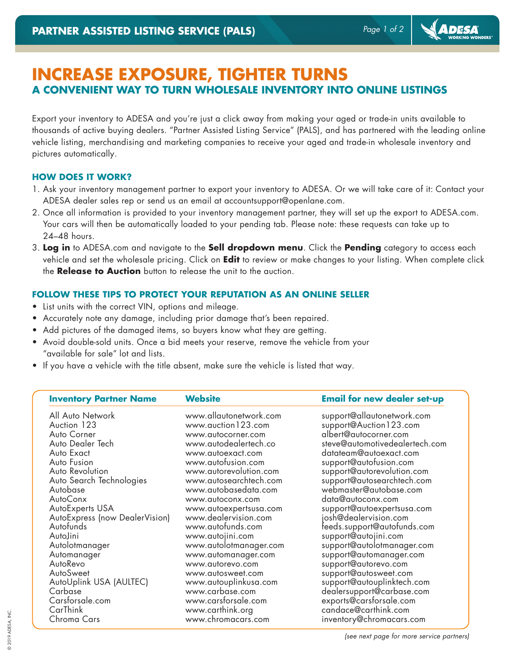**ADESA** 

## **INCREASE EXPOSURE, TIGHTER TURNS A CONVENIENT WAY TO TURN WHOLESALE INVENTORY INTO ONLINE LISTINGS**

Export your inventory to ADESA and you're just a click away from making your aged or trade-in units available to thousands of active buying dealers. "Partner Assisted Listing Service" (PALS), and has partnered with the leading online vehicle listing, merchandising and marketing companies to receive your aged and trade-in wholesale inventory and pictures automatically.

## **HOW DOES IT WORK?**

- 1. Ask your inventory management partner to export your inventory to ADESA. Or we will take care of it: Contact your ADESA dealer sales rep or send us an email at accountsupport@openlane.com.
- 2. Once all information is provided to your inventory management partner, they will set up the export to ADESA.com. Your cars will then be automatically loaded to your pending tab. Please note: these requests can take up to 24–48 hours.
- 3. **Log in** to ADESA.com and navigate to the **Sell dropdown menu**. Click the **Pending** category to access each vehicle and set the wholesale pricing. Click on **Edit** to review or make changes to your listing. When complete click the **Release to Auction** button to release the unit to the auction.

## **FOLLOW THESE TIPS TO PROTECT YOUR REPUTATION AS AN ONLINE SELLER**

- List units with the correct VIN, options and mileage.
- Accurately note any damage, including prior damage that's been repaired.
- Add pictures of the damaged items, so buyers know what they are getting.
- Avoid double-sold units. Once a bid meets your reserve, remove the vehicle from your "available for sale" lot and lists.
- If you have a vehicle with the title absent, make sure the vehicle is listed that way.

| <b>Inventory Partner Name</b>  | <b>Website</b>         | <b>Email for new dealer set-up</b> |
|--------------------------------|------------------------|------------------------------------|
| All Auto Network               | www.allautonetwork.com | support@allautonetwork.com         |
| Auction 123                    | www.auction123.com     | support@Auction123.com             |
| Auto Corner                    | www.autocorner.com     | albert@autocorner.com              |
| Auto Dealer Tech               | www.autodealertech.co  | steve@automotivedealertech.com     |
| Auto Exact                     | www.autoexact.com      | datateam@autoexact.com             |
| Auto Fusion                    | www.autofusion.com     | support@autofusion.com             |
| Auto Revolution                | www.autorevolution.com | support@autorevolution.com         |
| Auto Search Technologies       | www.autosearchtech.com | support@autosearchtech.com         |
| Autobase                       | www.autobasedata.com   | webmaster@autobase.com             |
| AutoConx                       | www.autoconx.com       | data@autoconx.com                  |
| AutoExperts USA                | www.autoexpertsusa.com | support@autoexpertsusa.com         |
| AutoExpress (now DealerVision) | www.dealervision.com   | josh@dealervision.com              |
| Autofunds                      | www.autofunds.com      | feeds.support@autofunds.com        |
| AutoJini                       | www.autojini.com       | support@autojini.com               |
| Autolotmanager                 | www.autolotmanager.com | support@autolotmanager.com         |
| Automanager                    | www.automanager.com    | support@automanager.com            |
| AutoRevo                       | www.autorevo.com       | support@autorevo.com               |
| AutoSweet                      | www.autosweet.com      | support@autosweet.com              |
| AutoUplink USA (AULTEC)        | www.autouplinkusa.com  | support@autouplinktech.com         |
| Carbase                        | www.carbase.com        | dealersupport@carbase.com          |
| Carsforsale.com                | www.carsforsale.com    | exports@carsforsale.com            |
| CarThink                       | www.carthink.org       | candace@carthink.com               |
| Chroma Cars                    | www.chromacars.com     | inventory@chromacars.com           |